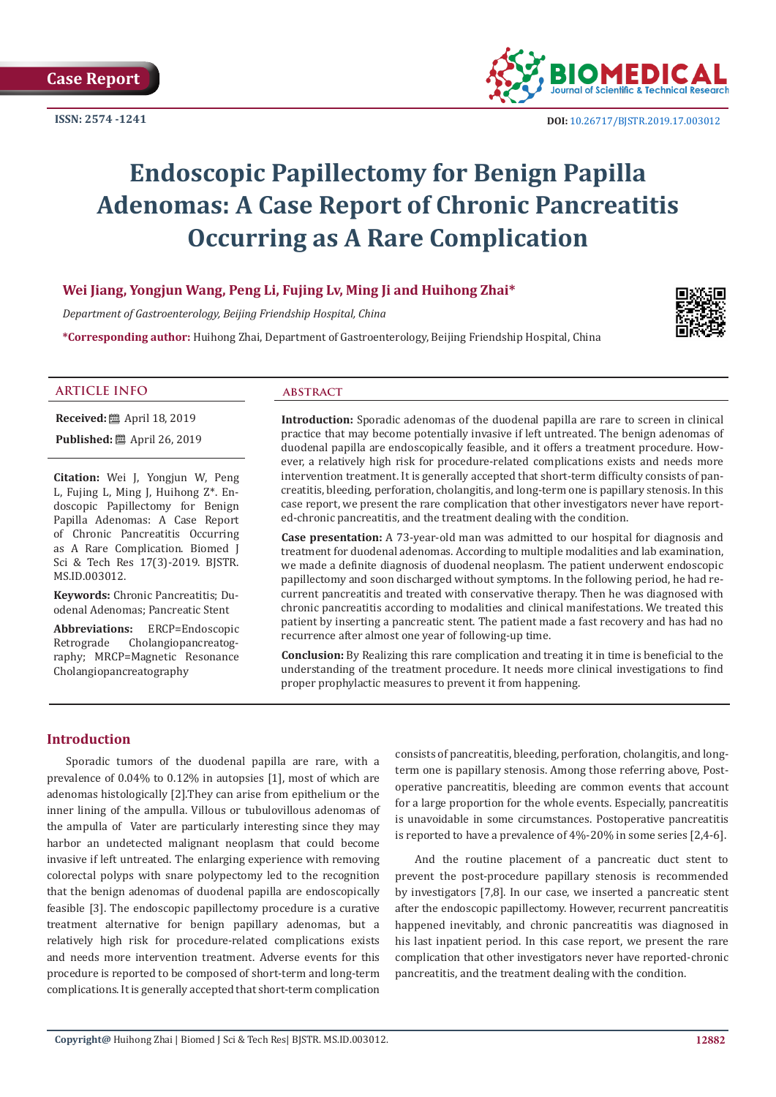**Case Report**

**ISSN: 2574 -1241**



# **Endoscopic Papillectomy for Benign Papilla Adenomas: A Case Report of Chronic Pancreatitis Occurring as A Rare Complication**

# **Wei Jiang, Yongjun Wang, Peng Li, Fujing Lv, Ming Ji and Huihong Zhai\***

*Department of Gastroenterology, Beijing Friendship Hospital, China*

**\*Corresponding author:** Huihong Zhai, Department of Gastroenterology, Beijing Friendship Hospital, China



### **ARTICLE INFO abstract**

**Received:** ■ April 18, 2019

**Published:** ■ April 26, 2019

**Citation:** Wei J, Yongjun W, Peng L, Fujing L, Ming J, Huihong Z\*. Endoscopic Papillectomy for Benign Papilla Adenomas: A Case Report of Chronic Pancreatitis Occurring as A Rare Complication. Biomed J Sci & Tech Res 17(3)-2019. BJSTR. MS.ID.003012.

**Keywords:** Chronic Pancreatitis; Duodenal Adenomas; Pancreatic Stent

**Abbreviations:** ERCP=Endoscopic Cholangiopancreatography; MRCP=Magnetic Resonance Cholangiopancreatography

**Introduction:** Sporadic adenomas of the duodenal papilla are rare to screen in clinical practice that may become potentially invasive if left untreated. The benign adenomas of duodenal papilla are endoscopically feasible, and it offers a treatment procedure. However, a relatively high risk for procedure-related complications exists and needs more intervention treatment. It is generally accepted that short-term difficulty consists of pancreatitis, bleeding, perforation, cholangitis, and long-term one is papillary stenosis. In this case report, we present the rare complication that other investigators never have reported-chronic pancreatitis, and the treatment dealing with the condition.

**Case presentation:** A 73-year-old man was admitted to our hospital for diagnosis and treatment for duodenal adenomas. According to multiple modalities and lab examination, we made a definite diagnosis of duodenal neoplasm. The patient underwent endoscopic papillectomy and soon discharged without symptoms. In the following period, he had recurrent pancreatitis and treated with conservative therapy. Then he was diagnosed with chronic pancreatitis according to modalities and clinical manifestations. We treated this patient by inserting a pancreatic stent. The patient made a fast recovery and has had no recurrence after almost one year of following-up time.

**Conclusion:** By Realizing this rare complication and treating it in time is beneficial to the understanding of the treatment procedure. It needs more clinical investigations to find proper prophylactic measures to prevent it from happening.

# **Introduction**

Sporadic tumors of the duodenal papilla are rare, with a prevalence of 0.04% to 0.12% in autopsies [1], most of which are adenomas histologically [2].They can arise from epithelium or the inner lining of the ampulla. Villous or tubulovillous adenomas of the ampulla of Vater are particularly interesting since they may harbor an undetected malignant neoplasm that could become invasive if left untreated. The enlarging experience with removing colorectal polyps with snare polypectomy led to the recognition that the benign adenomas of duodenal papilla are endoscopically feasible [3]. The endoscopic papillectomy procedure is a curative treatment alternative for benign papillary adenomas, but a relatively high risk for procedure-related complications exists and needs more intervention treatment. Adverse events for this procedure is reported to be composed of short-term and long-term complications. It is generally accepted that short-term complication

consists of pancreatitis, bleeding, perforation, cholangitis, and longterm one is papillary stenosis. Among those referring above, Postoperative pancreatitis, bleeding are common events that account for a large proportion for the whole events. Especially, pancreatitis is unavoidable in some circumstances. Postoperative pancreatitis is reported to have a prevalence of 4%-20% in some series [2,4-6].

And the routine placement of a pancreatic duct stent to prevent the post-procedure papillary stenosis is recommended by investigators [7,8]. In our case, we inserted a pancreatic stent after the endoscopic papillectomy. However, recurrent pancreatitis happened inevitably, and chronic pancreatitis was diagnosed in his last inpatient period. In this case report, we present the rare complication that other investigators never have reported-chronic pancreatitis, and the treatment dealing with the condition.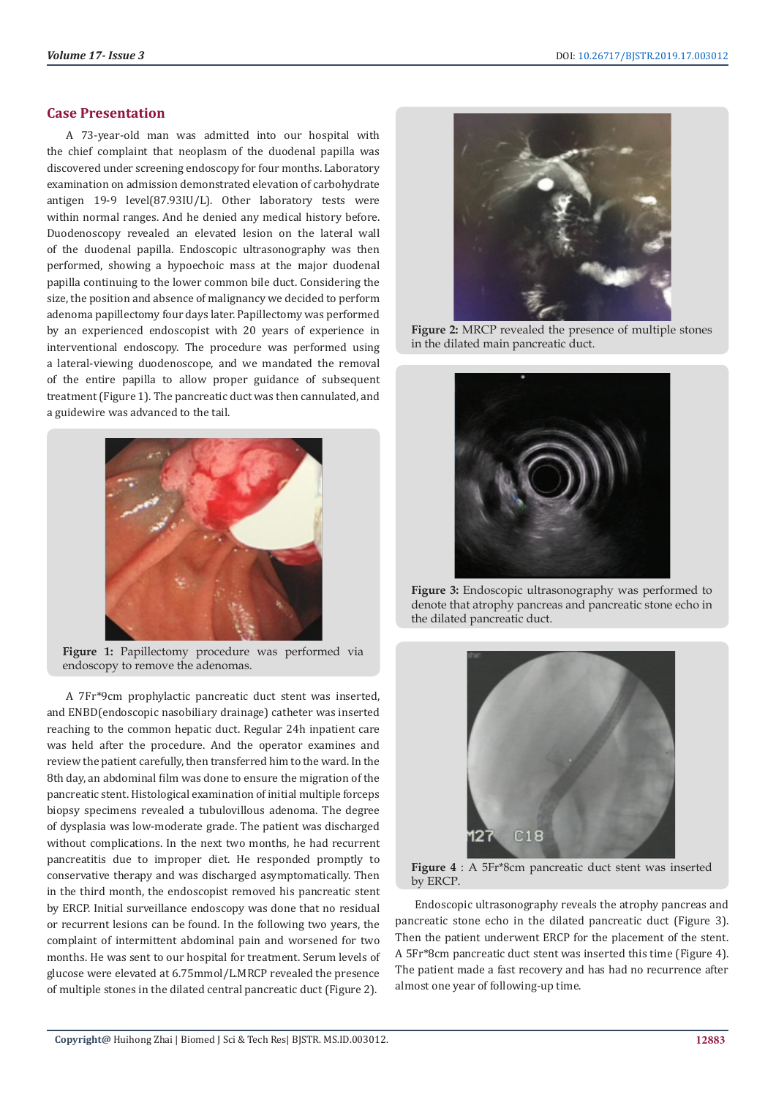# **Case Presentation**

A 73-year-old man was admitted into our hospital with the chief complaint that neoplasm of the duodenal papilla was discovered under screening endoscopy for four months. Laboratory examination on admission demonstrated elevation of carbohydrate antigen 19-9 level(87.93IU/L). Other laboratory tests were within normal ranges. And he denied any medical history before. Duodenoscopy revealed an elevated lesion on the lateral wall of the duodenal papilla. Endoscopic ultrasonography was then performed, showing a hypoechoic mass at the major duodenal papilla continuing to the lower common bile duct. Considering the size, the position and absence of malignancy we decided to perform adenoma papillectomy four days later. Papillectomy was performed by an experienced endoscopist with 20 years of experience in interventional endoscopy. The procedure was performed using a lateral-viewing duodenoscope, and we mandated the removal of the entire papilla to allow proper guidance of subsequent treatment (Figure 1). The pancreatic duct was then cannulated, and a guidewire was advanced to the tail.



Figure 1: Papillectomy procedure was performed via endoscopy to remove the adenomas.

A 7Fr\*9cm prophylactic pancreatic duct stent was inserted, and ENBD(endoscopic nasobiliary drainage) catheter was inserted reaching to the common hepatic duct. Regular 24h inpatient care was held after the procedure. And the operator examines and review the patient carefully, then transferred him to the ward. In the 8th day, an abdominal film was done to ensure the migration of the pancreatic stent. Histological examination of initial multiple forceps biopsy specimens revealed a tubulovillous adenoma. The degree of dysplasia was low-moderate grade. The patient was discharged without complications. In the next two months, he had recurrent pancreatitis due to improper diet. He responded promptly to conservative therapy and was discharged asymptomatically. Then in the third month, the endoscopist removed his pancreatic stent by ERCP. Initial surveillance endoscopy was done that no residual or recurrent lesions can be found. In the following two years, the complaint of intermittent abdominal pain and worsened for two months. He was sent to our hospital for treatment. Serum levels of glucose were elevated at 6.75mmol/L.MRCP revealed the presence of multiple stones in the dilated central pancreatic duct (Figure 2).



**Figure 2:** MRCP revealed the presence of multiple stones in the dilated main pancreatic duct.



**Figure 3:** Endoscopic ultrasonography was performed to denote that atrophy pancreas and pancreatic stone echo in the dilated pancreatic duct.



**Figure 4** : A 5Fr\*8cm pancreatic duct stent was inserted by ERCP.

Endoscopic ultrasonography reveals the atrophy pancreas and pancreatic stone echo in the dilated pancreatic duct (Figure 3). Then the patient underwent ERCP for the placement of the stent. A 5Fr\*8cm pancreatic duct stent was inserted this time (Figure 4). The patient made a fast recovery and has had no recurrence after almost one year of following-up time.